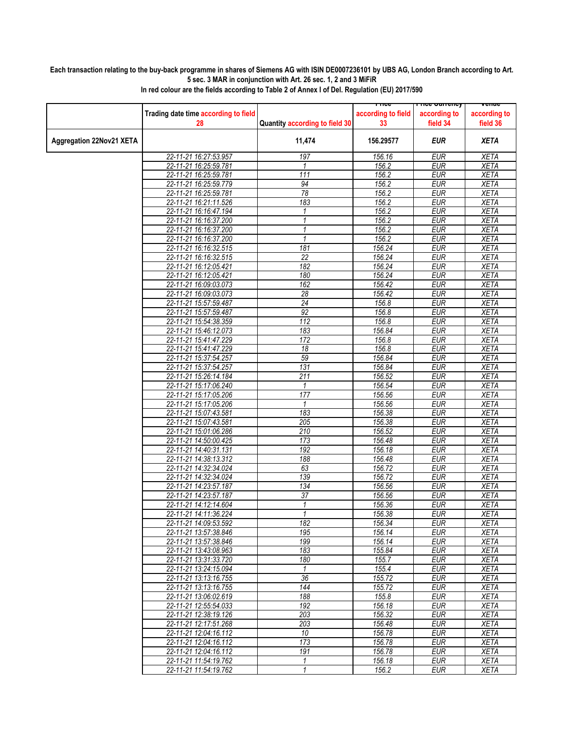## **Each transaction relating to the buy-back programme in shares of Siemens AG with ISIN DE0007236101 by UBS AG, London Branch according to Art. 5 sec. 3 MAR in conjunction with Art. 26 sec. 1, 2 and 3 MiFiR**

|                                 |                                                |                                | <u>Liire</u>       | rn <del>ce cunency</del> | venue        |
|---------------------------------|------------------------------------------------|--------------------------------|--------------------|--------------------------|--------------|
|                                 | Trading date time according to field           |                                | according to field | according to             | according to |
|                                 | 28                                             | Quantity according to field 30 | 33                 | field 34                 | field 36     |
|                                 |                                                |                                |                    |                          |              |
|                                 |                                                |                                | 156.29577          | EUR                      | <b>XETA</b>  |
| <b>Aggregation 22Nov21 XETA</b> |                                                | 11,474                         |                    |                          |              |
|                                 | 22-11-21 16:27:53.957                          | 197                            | 156.16             | <b>EUR</b>               | <b>XETA</b>  |
|                                 | 22-11-21 16:25:59.781                          | 1                              | 156.2              | <b>EUR</b>               | <b>XETA</b>  |
|                                 | 22-11-21 16:25:59.781                          | 111                            | 156.2              | <b>EUR</b>               | <b>XETA</b>  |
|                                 |                                                |                                |                    |                          |              |
|                                 | 22-11-21 16:25:59.779                          | 94                             | 156.2              | <b>EUR</b>               | <b>XETA</b>  |
|                                 | 22-11-21 16:25:59.781                          | $\overline{78}$                | 156.2              | <b>EUR</b>               | <b>XETA</b>  |
|                                 | 22-11-21 16:21:11.526                          | 183                            | 156.2              | <b>EUR</b>               | <b>XETA</b>  |
|                                 | 22-11-21 16:16:47.194                          | 1                              | 156.2              | <b>EUR</b>               | <b>XETA</b>  |
|                                 | 22-11-21 16:16:37.200                          | $\mathcal I$                   | 156.2              | <b>EUR</b>               | <b>XETA</b>  |
|                                 | 22-11-21 16:16:37.200                          | 1                              | 156.2              | <b>EUR</b>               | <b>XETA</b>  |
|                                 | 22-11-21 16:16:37.200                          | $\mathbf{1}$                   | 156.2              | <b>EUR</b>               | <b>XETA</b>  |
|                                 | 22-11-21 16:16:32.515                          | 181                            | 156.24             | <b>EUR</b>               | <b>XETA</b>  |
|                                 | 22-11-21 16:16:32.515                          | $\overline{22}$                | 156.24             | <b>EUR</b>               | <b>XETA</b>  |
|                                 | 22-11-21 16:12:05.421                          | 182                            | 156.24             | <b>EUR</b>               | <b>XETA</b>  |
|                                 | 22-11-21 16:12:05.421                          | 180                            | 156.24             | <b>EUR</b>               | <b>XETA</b>  |
|                                 | 22-11-21 16:09:03.073                          | 162                            | 156.42             | <b>EUR</b>               | <b>XETA</b>  |
|                                 |                                                |                                |                    |                          |              |
|                                 | 22-11-21 16:09:03.073                          | 28                             | 156.42             | <b>EUR</b>               | <b>XETA</b>  |
|                                 | 22-11-21 15:57:59.487                          | 24                             | 156.8              | <b>EUR</b>               | <b>XETA</b>  |
|                                 | 22-11-21 15:57:59.487                          | 92                             | 156.8              | <b>EUR</b>               | <b>XETA</b>  |
|                                 | 22-11-21 15:54:38.359                          | 112                            | 156.8              | <b>EUR</b>               | <b>XETA</b>  |
|                                 | 22-11-21 15:46:12.073                          | 183                            | 156.84             | <b>EUR</b>               | <b>XETA</b>  |
|                                 | 22-11-21 15:41:47.229                          | 172                            | 156.8              | <b>EUR</b>               | <b>XETA</b>  |
|                                 | 22-11-21 15:41:47.229                          | 18                             | 156.8              | <b>EUR</b>               | <b>XETA</b>  |
|                                 | 22-11-21 15:37:54.257                          | 59                             | 156.84             | <b>EUR</b>               | <b>XETA</b>  |
|                                 | 22-11-21 15:37:54.257                          | 131                            | 156.84             | <b>EUR</b>               | <b>XETA</b>  |
|                                 | 22-11-21 15:26:14.184                          | $\overline{211}$               | 156.52             | <b>EUR</b>               | <b>XETA</b>  |
|                                 | 22-11-21 15:17:06.240                          | 1                              | 156.54             | <b>EUR</b>               | <b>XETA</b>  |
|                                 | 22-11-21 15:17:05.206                          | 177                            | 156.56             | <b>EUR</b>               | <b>XETA</b>  |
|                                 | 22-11-21 15:17:05.206                          | $\mathbf{1}$                   | 156.56             | <b>EUR</b>               | <b>XETA</b>  |
|                                 | 22-11-21 15:07:43.581                          | 183                            | 156.38             | <b>EUR</b>               | <b>XETA</b>  |
|                                 | 22-11-21 15:07:43.581                          | 205                            | 156.38             | <b>EUR</b>               | <b>XETA</b>  |
|                                 | 22-11-21 15:01:06.286                          | 210                            | 156.52             | <b>EUR</b>               | <b>XETA</b>  |
|                                 | 22-11-21 14:50:00.425                          | 173                            | 156.48             | <b>EUR</b>               | <b>XETA</b>  |
|                                 |                                                | 192                            |                    | <b>EUR</b>               | <b>XETA</b>  |
|                                 | 22-11-21 14:40:31.131<br>22-11-21 14:38:13.312 | 188                            | 156.18             | <b>EUR</b>               |              |
|                                 |                                                |                                | 156.48             |                          | <b>XETA</b>  |
|                                 | 22-11-21 14:32:34.024                          | 63                             | 156.72             | <b>EUR</b>               | <b>XETA</b>  |
|                                 | 22-11-21 14:32:34.024                          | 139                            | 156.72             | <b>EUR</b>               | <b>XETA</b>  |
|                                 | 22-11-21 14:23:57.187                          | 134                            | 156.56             | <b>EUR</b>               | <b>XETA</b>  |
|                                 | 22-11-21 14:23:57.187                          | 37                             | 156.56             | <b>EUR</b>               | <b>XETA</b>  |
|                                 | 22-11-21 14:12:14.604                          | 1                              | 156.36             | <b>EUR</b>               | <b>XETA</b>  |
|                                 | 22-11-21 14:11:36.224                          | $\mathbf{1}$                   | 156.38             | <b>EUR</b>               | <b>XETA</b>  |
|                                 | 22-11-21 14:09:53.592                          | 182                            | 156.34             | <b>EUR</b>               | <b>XETA</b>  |
|                                 | 22-11-21 13:57:38.846                          | 195                            | 156.14             | <b>EUR</b>               | XETA         |
|                                 | 22-11-21 13:57:38.846                          | 199                            | 156.14             | <b>EUR</b>               | <b>XETA</b>  |
|                                 | 22-11-21 13:43:08.963                          | 183                            | 155.84             | <b>EUR</b>               | XETA         |
|                                 | 22-11-21 13:31:33.720                          | 180                            | 155.7              | <b>EUR</b>               | <b>XETA</b>  |
|                                 | 22-11-21 13:24:15.094                          | $\mathbf{1}$                   | 155.4              | <b>EUR</b>               | <b>XETA</b>  |
|                                 | 22-11-21 13:13:16.755                          | 36                             | 155.72             | <b>EUR</b>               | XETA         |
|                                 | 22-11-21 13:13:16.755                          | 144                            | 155.72             | <b>EUR</b>               | <b>XETA</b>  |
|                                 | 22-11-21 13:06:02.619                          | 188                            | 155.8              | <b>EUR</b>               | <b>XETA</b>  |
|                                 | 22-11-21 12:55:54.033                          | 192                            | 156.18             | <b>EUR</b>               | XETA         |
|                                 | 22-11-21 12:38:19.126                          | 203                            | 156.32             | <b>EUR</b>               | <b>XETA</b>  |
|                                 | 22-11-21 12:17:51.268                          | 203                            | 156.48             | <b>EUR</b>               | <b>XETA</b>  |
|                                 | 22-11-21 12:04:16.112                          | 10                             | 156.78             | <b>EUR</b>               | XETA         |
|                                 |                                                |                                |                    |                          |              |
|                                 | 22-11-21 12:04:16.112                          | 173                            | 156.78             | <b>EUR</b>               | <b>XETA</b>  |
|                                 | 22-11-21 12:04:16.112                          | 191                            | 156.78             | <b>EUR</b>               | <b>XETA</b>  |
|                                 | 22-11-21 11:54:19.762                          | 1                              | 156.18             | EUR                      | XETA         |
|                                 | 22-11-21 11:54:19.762                          | 1                              | 156.2              | <b>EUR</b>               | <b>XETA</b>  |

**In red colour are the fields according to Table 2 of Annex I of Del. Regulation (EU) 2017/590**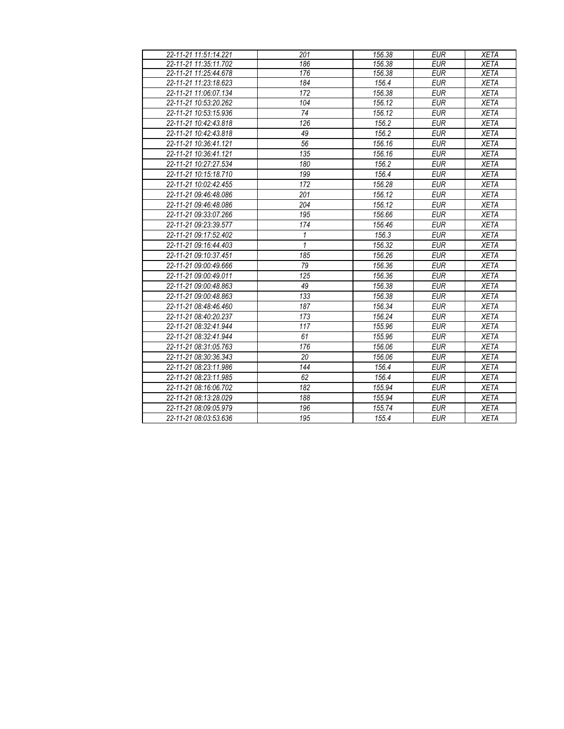| 22-11-21 11:51:14.221 | 201          | 156.38 | <b>EUR</b> | <b>XETA</b> |
|-----------------------|--------------|--------|------------|-------------|
| 22-11-21 11:35:11.702 | 186          | 156.38 | <b>EUR</b> | <b>XETA</b> |
| 22-11-21 11:25:44.678 | 176          | 156.38 | <b>EUR</b> | <b>XETA</b> |
| 22-11-21 11:23:18.623 | 184          | 156.4  | <b>EUR</b> | <b>XETA</b> |
| 22-11-21 11:06:07.134 | 172          | 156.38 | <b>EUR</b> | <b>XETA</b> |
| 22-11-21 10:53:20.262 | 104          | 156.12 | <b>EUR</b> | <b>XETA</b> |
| 22-11-21 10:53:15.936 | 74           | 156.12 | <b>EUR</b> | <b>XETA</b> |
| 22-11-21 10:42:43.818 | 126          | 156.2  | <b>EUR</b> | <b>XETA</b> |
| 22-11-21 10:42:43.818 | 49           | 156.2  | <b>EUR</b> | <b>XETA</b> |
| 22-11-21 10:36:41.121 | 56           | 156.16 | <b>EUR</b> | <b>XETA</b> |
| 22-11-21 10:36:41.121 | 135          | 156.16 | <b>EUR</b> | <b>XETA</b> |
| 22-11-21 10:27:27.534 | 180          | 156.2  | <b>EUR</b> | <b>XETA</b> |
| 22-11-21 10:15:18.710 | 199          | 156.4  | <b>EUR</b> | <b>XETA</b> |
| 22-11-21 10:02:42.455 | 172          | 156.28 | <b>EUR</b> | <b>XETA</b> |
| 22-11-21 09:46:48.086 | 201          | 156.12 | <b>EUR</b> | <b>XETA</b> |
| 22-11-21 09:46:48.086 | 204          | 156.12 | <b>EUR</b> | <b>XETA</b> |
| 22-11-21 09:33:07.266 | 195          | 156.66 | <b>EUR</b> | <b>XETA</b> |
| 22-11-21 09:23:39.577 | 174          | 156.46 | <b>EUR</b> | <b>XETA</b> |
| 22-11-21 09:17:52.402 | $\mathbf{1}$ | 156.3  | <b>EUR</b> | <b>XETA</b> |
| 22-11-21 09:16:44.403 | $\mathbf{1}$ | 156.32 | <b>EUR</b> | <b>XETA</b> |
| 22-11-21 09:10:37.451 | 185          | 156.26 | <b>EUR</b> | <b>XETA</b> |
| 22-11-21 09:00:49.666 | 79           | 156.36 | <b>EUR</b> | <b>XETA</b> |
| 22-11-21 09:00:49.011 | 125          | 156.36 | <b>EUR</b> | <b>XETA</b> |
| 22-11-21 09:00:48.863 | 49           | 156.38 | <b>EUR</b> | <b>XETA</b> |
| 22-11-21 09:00:48.863 | 133          | 156.38 | <b>EUR</b> | <b>XETA</b> |
| 22-11-21 08:48:46.460 | 187          | 156.34 | <b>EUR</b> | <b>XETA</b> |
| 22-11-21 08:40:20.237 | 173          | 156.24 | <b>EUR</b> | <b>XETA</b> |
| 22-11-21 08:32:41.944 | 117          | 155.96 | <b>EUR</b> | <b>XETA</b> |
| 22-11-21 08:32:41.944 | 61           | 155.96 | <b>EUR</b> | <b>XETA</b> |
| 22-11-21 08:31:05.763 | 176          | 156.06 | <b>EUR</b> | <b>XETA</b> |
| 22-11-21 08:30:36.343 | 20           | 156.06 | <b>EUR</b> | <b>XETA</b> |
| 22-11-21 08:23:11.986 | 144          | 156.4  | <b>EUR</b> | <b>XETA</b> |
| 22-11-21 08:23:11.985 | 62           | 156.4  | <b>EUR</b> | <b>XETA</b> |
| 22-11-21 08:16:06.702 | 182          | 155.94 | <b>EUR</b> | <b>XETA</b> |
| 22-11-21 08:13:28.029 | 188          | 155.94 | <b>EUR</b> | <b>XETA</b> |
| 22-11-21 08:09:05.979 | 196          | 155.74 | <b>EUR</b> | <b>XETA</b> |
| 22-11-21 08:03:53.636 | 195          | 155.4  | <b>EUR</b> | <b>XETA</b> |
|                       |              |        |            |             |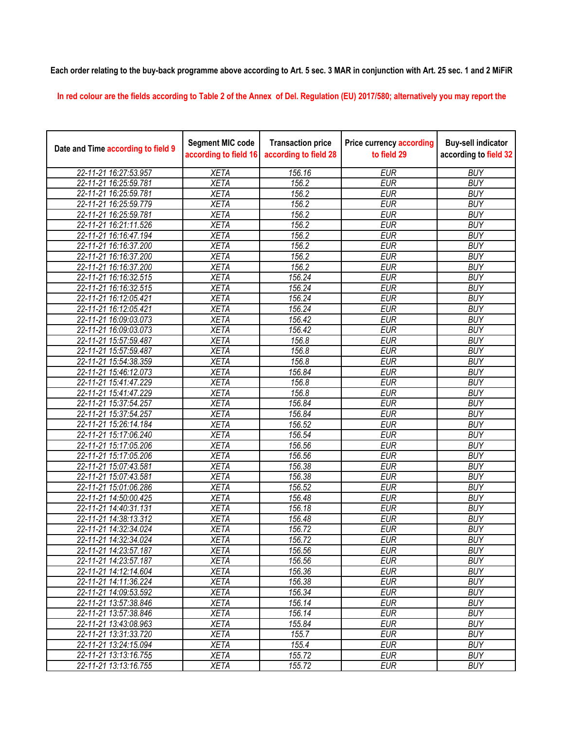## **Each order relating to the buy-back programme above according to Art. 5 sec. 3 MAR in conjunction with Art. 25 sec. 1 and 2 MiFiR**

**In red colour are the fields according to Table 2 of the Annex of Del. Regulation (EU) 2017/580; alternatively you may report the** 

| Date and Time according to field 9 | <b>Segment MIC code</b><br>according to field 16 | <b>Transaction price</b><br>according to field 28 | <b>Price currency according</b><br>to field 29 | <b>Buy-sell indicator</b><br>according to field 32 |
|------------------------------------|--------------------------------------------------|---------------------------------------------------|------------------------------------------------|----------------------------------------------------|
| 22-11-21 16:27:53.957              | <b>XETA</b>                                      | 156.16                                            | <b>EUR</b>                                     | <b>BUY</b>                                         |
| 22-11-21 16:25:59.781              | <b>XETA</b>                                      | 156.2                                             | <b>EUR</b>                                     | <b>BUY</b>                                         |
| 22-11-21 16:25:59.781              | <b>XETA</b>                                      | 156.2                                             | <b>EUR</b>                                     | <b>BUY</b>                                         |
| 22-11-21 16:25:59.779              | <b>XETA</b>                                      | 156.2                                             | <b>EUR</b>                                     | <b>BUY</b>                                         |
| 22-11-21 16:25:59.781              | <b>XETA</b>                                      | 156.2                                             | <b>EUR</b>                                     | <b>BUY</b>                                         |
| 22-11-21 16:21:11.526              | <b>XETA</b>                                      | 156.2                                             | <b>EUR</b>                                     | <b>BUY</b>                                         |
| 22-11-21 16:16:47.194              | <b>XETA</b>                                      | 156.2                                             | <b>EUR</b>                                     | <b>BUY</b>                                         |
| 22-11-21 16:16:37.200              | <b>XETA</b>                                      | 156.2                                             | <b>EUR</b>                                     | <b>BUY</b>                                         |
| 22-11-21 16:16:37.200              | <b>XETA</b>                                      | 156.2                                             | <b>EUR</b>                                     | <b>BUY</b>                                         |
| 22-11-21 16:16:37.200              | <b>XETA</b>                                      | 156.2                                             | <b>EUR</b>                                     | <b>BUY</b>                                         |
| 22-11-21 16:16:32.515              | <b>XETA</b>                                      | 156.24                                            | <b>EUR</b>                                     | <b>BUY</b>                                         |
| 22-11-21 16:16:32.515              | <b>XETA</b>                                      | 156.24                                            | <b>EUR</b>                                     | <b>BUY</b>                                         |
| 22-11-21 16:12:05.421              | <b>XETA</b>                                      | 156.24                                            | <b>EUR</b>                                     | <b>BUY</b>                                         |
| 22-11-21 16:12:05.421              | <b>XETA</b>                                      | 156.24                                            | <b>EUR</b>                                     | <b>BUY</b>                                         |
| 22-11-21 16:09:03.073              | <b>XETA</b>                                      | 156.42                                            | <b>EUR</b>                                     | <b>BUY</b>                                         |
| 22-11-21 16:09:03.073              | <b>XETA</b>                                      | 156.42                                            | <b>EUR</b>                                     | <b>BUY</b>                                         |
| 22-11-21 15:57:59.487              | <b>XETA</b>                                      | 156.8                                             | <b>EUR</b>                                     | <b>BUY</b>                                         |
| 22-11-21 15:57:59.487              | <b>XETA</b>                                      | 156.8                                             | <b>EUR</b>                                     | <b>BUY</b>                                         |
| 22-11-21 15:54:38.359              | <b>XETA</b>                                      | 156.8                                             | <b>EUR</b>                                     | <b>BUY</b>                                         |
| 22-11-21 15:46:12.073              | <b>XETA</b>                                      | 156.84                                            | <b>EUR</b>                                     | <b>BUY</b>                                         |
| 22-11-21 15:41:47.229              | <b>XETA</b>                                      | 156.8                                             | <b>EUR</b>                                     | <b>BUY</b>                                         |
| 22-11-21 15:41:47.229              | <b>XETA</b>                                      | 156.8                                             | <b>EUR</b>                                     | <b>BUY</b>                                         |
| 22-11-21 15:37:54.257              | <b>XETA</b>                                      | 156.84                                            | <b>EUR</b>                                     | <b>BUY</b>                                         |
| 22-11-21 15:37:54.257              | <b>XETA</b>                                      | 156.84                                            | <b>EUR</b>                                     | <b>BUY</b>                                         |
| 22-11-21 15:26:14.184              | <b>XETA</b>                                      | 156.52                                            | <b>EUR</b>                                     | <b>BUY</b>                                         |
| 22-11-21 15:17:06.240              | <b>XETA</b>                                      | 156.54                                            | <b>EUR</b>                                     | <b>BUY</b>                                         |
| 22-11-21 15:17:05.206              | <b>XETA</b>                                      | 156.56                                            | <b>EUR</b>                                     | <b>BUY</b>                                         |
| 22-11-21 15:17:05.206              | <b>XETA</b>                                      | 156.56                                            | <b>EUR</b>                                     | <b>BUY</b>                                         |
| 22-11-21 15:07:43.581              | <b>XETA</b>                                      | 156.38                                            | <b>EUR</b>                                     | <b>BUY</b>                                         |
| 22-11-21 15:07:43.581              | <b>XETA</b>                                      | 156.38                                            | <b>EUR</b>                                     | <b>BUY</b>                                         |
| 22-11-21 15:01:06.286              | <b>XETA</b>                                      | 156.52                                            | <b>EUR</b>                                     | <b>BUY</b>                                         |
| 22-11-21 14:50:00.425              | <b>XETA</b>                                      | 156.48                                            | <b>EUR</b>                                     | <b>BUY</b>                                         |
| 22-11-21 14:40:31.131              | <b>XETA</b>                                      | 156.18                                            | <b>EUR</b>                                     | <b>BUY</b>                                         |
| 22-11-21 14:38:13.312              | <b>XETA</b>                                      | 156.48                                            | <b>EUR</b>                                     | <b>BUY</b>                                         |
| 22-11-21 14:32:34.024              | <b>XETA</b>                                      | 156.72                                            | <b>EUR</b>                                     | <b>BUY</b>                                         |
| 22-11-21 14:32:34.024              | <b>XETA</b>                                      | 156.72                                            | <b>EUR</b>                                     | <b>BUY</b>                                         |
| 22-11-21 14:23:57.187              | <b>XETA</b>                                      | 156.56                                            | <b>EUR</b>                                     | <b>BUY</b>                                         |
| 22-11-21 14:23:57.187              | <b>XETA</b>                                      | 156.56                                            | <b>EUR</b>                                     | <b>BUY</b>                                         |
| 22-11-21 14:12:14.604              | <b>XETA</b>                                      | 156.36                                            | <b>EUR</b>                                     | <b>BUY</b>                                         |
| 22-11-21 14:11:36.224              | <b>XETA</b>                                      | 156.38                                            | <b>EUR</b>                                     | <b>BUY</b>                                         |
| 22-11-21 14:09:53.592              | <b>XETA</b>                                      | 156.34                                            | <b>EUR</b>                                     | <b>BUY</b>                                         |
| 22-11-21 13:57:38.846              | <b>XETA</b>                                      | 156.14                                            | <b>EUR</b>                                     | <b>BUY</b>                                         |
| 22-11-21 13:57:38.846              | <b>XETA</b>                                      | 156.14                                            | <b>EUR</b>                                     | <b>BUY</b>                                         |
| 22-11-21 13:43:08.963              | <b>XETA</b>                                      | 155.84                                            | <b>EUR</b>                                     | <b>BUY</b>                                         |
| 22-11-21 13:31:33.720              | <b>XETA</b>                                      | 155.7                                             | <b>EUR</b>                                     | <b>BUY</b>                                         |
| 22-11-21 13:24:15.094              | <b>XETA</b>                                      | 155.4                                             | <b>EUR</b>                                     | <b>BUY</b>                                         |
| 22-11-21 13:13:16.755              | <b>XETA</b>                                      | 155.72                                            | <b>EUR</b>                                     | <b>BUY</b>                                         |
| 22-11-21 13:13:16.755              | <b>XETA</b>                                      | 155.72                                            | <b>EUR</b>                                     | <b>BUY</b>                                         |